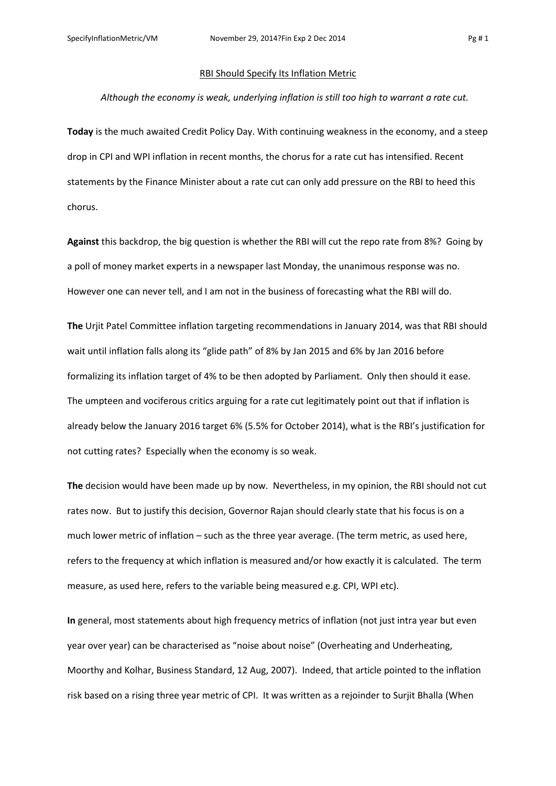## RBI Should Specify Its Inflation Metric

## *Although the economy is weak, underlying inflation is still too high to warrant a rate cut.*

**Today** is the much awaited Credit Policy Day. With continuing weakness in the economy, and a steep drop in CPI and WPI inflation in recent months, the chorus for a rate cut has intensified. Recent statements by the Finance Minister about a rate cut can only add pressure on the RBI to heed this chorus.

**Against** this backdrop, the big question is whether the RBI will cut the repo rate from 8%? Going by a poll of money market experts in a newspaper last Monday, the unanimous response was no. However one can never tell, and I am not in the business of forecasting what the RBI will do.

**The** Urjit Patel Committee inflation targeting recommendations in January 2014, was that RBI should wait until inflation falls along its "glide path" of 8% by Jan 2015 and 6% by Jan 2016 before formalizing its inflation target of 4% to be then adopted by Parliament. Only then should it ease. The umpteen and vociferous critics arguing for a rate cut legitimately point out that if inflation is already below the January 2016 target 6% (5.5% for October 2014), what is the RBI's justification for not cutting rates? Especially when the economy is so weak.

**The** decision would have been made up by now. Nevertheless, in my opinion, the RBI should not cut rates now. But to justify this decision, Governor Rajan should clearly state that his focus is on a much lower metric of inflation – such as the three year average. (The term metric, as used here, refers to the frequency at which inflation is measured and/or how exactly it is calculated. The term measure, as used here, refers to the variable being measured e.g. CPI, WPI etc).

**In** general, most statements about high frequency metrics of inflation (not just intra year but even year over year) can be characterised as "noise about noise" (Overheating and Underheating, Moorthy and Kolhar, Business Standard, 12 Aug, 2007). Indeed, that article pointed to the inflation risk based on a rising three year metric of CPI. It was written as a rejoinder to Surjit Bhalla (When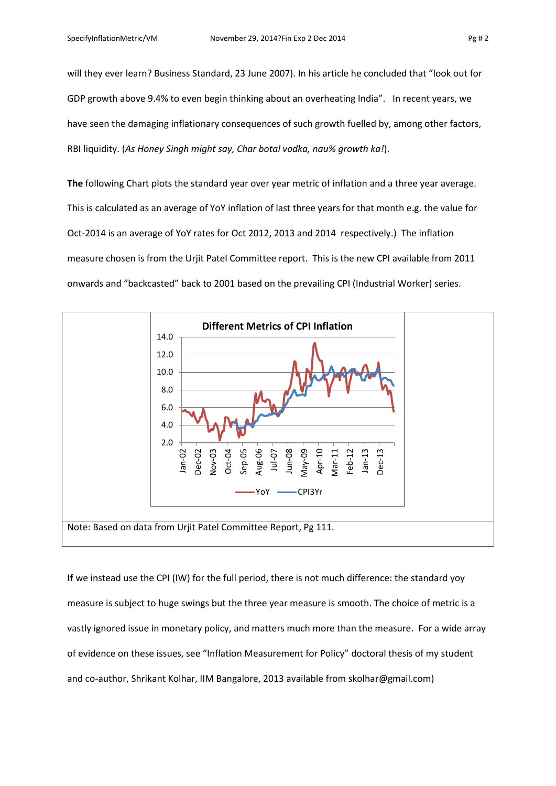will they ever learn? Business Standard, 23 June 2007). In his article he concluded that "look out for GDP growth above 9.4% to even begin thinking about an overheating India". In recent years, we have seen the damaging inflationary consequences of such growth fuelled by, among other factors, RBI liquidity. (*As Honey Singh might say, Char botal vodka, nau% growth ka!*).

**The** following Chart plots the standard year over year metric of inflation and a three year average. This is calculated as an average of YoY inflation of last three years for that month e.g. the value for Oct-2014 is an average of YoY rates for Oct 2012, 2013 and 2014 respectively.) The inflation measure chosen is from the Urjit Patel Committee report. This is the new CPI available from 2011 onwards and "backcasted" back to 2001 based on the prevailing CPI (Industrial Worker) series.



**If** we instead use the CPI (IW) for the full period, there is not much difference: the standard yoy measure is subject to huge swings but the three year measure is smooth. The choice of metric is a vastly ignored issue in monetary policy, and matters much more than the measure. For a wide array of evidence on these issues, see "Inflation Measurement for Policy" doctoral thesis of my student and co-author, Shrikant Kolhar, IIM Bangalore, 2013 available from skolhar@gmail.com)